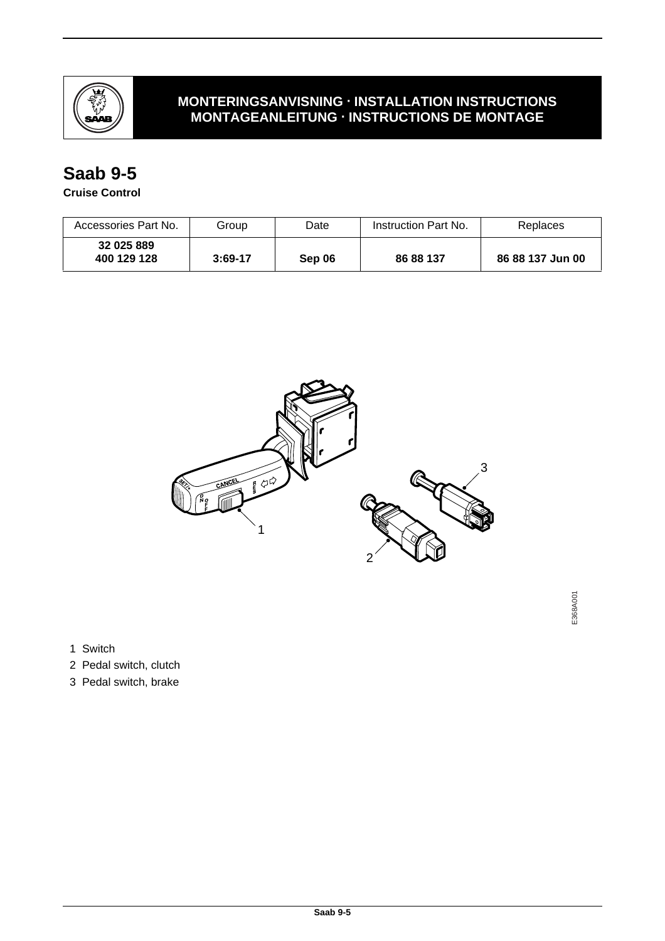

## **MONTERINGSANVISNING · INSTALLATION INSTRUCTIONS MONTAGEANLEITUNG · INSTRUCTIONS DE MONTAGE**

## **Saab 9-5**

**Cruise Control**

| Accessories Part No.      | Group     | Date   | Instruction Part No. | Replaces         |
|---------------------------|-----------|--------|----------------------|------------------|
| 32 025 889<br>400 129 128 | $3:69-17$ | Sep 06 | 86 88 137            | 86 88 137 Jun 00 |



E368A001

E368A001

1 Switch

- 2 Pedal switch, clutch
- 3 Pedal switch, brake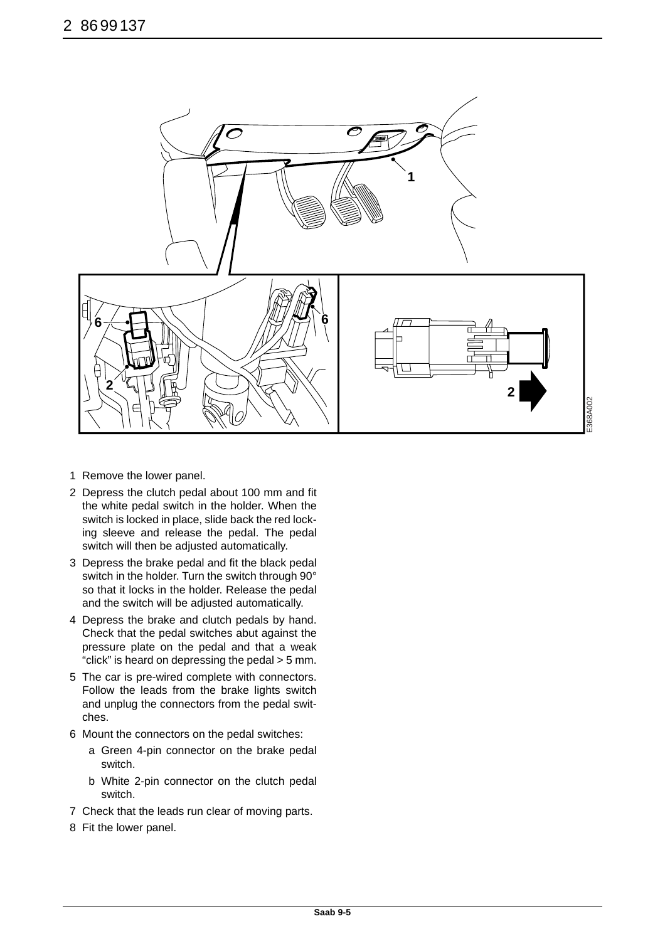

E368A002 368A002

- 1 Remove the lower panel.
- 2 Depress the clutch pedal about 100 mm and fit the white pedal switch in the holder. When the switch is locked in place, slide back the red locking sleeve and release the pedal. The pedal switch will then be adjusted automatically.
- 3 Depress the brake pedal and fit the black pedal switch in the holder. Turn the switch through 90° so that it locks in the holder. Release the pedal and the switch will be adjusted automatically.
- 4 Depress the brake and clutch pedals by hand. Check that the pedal switches abut against the pressure plate on the pedal and that a weak "click" is heard on depressing the pedal > 5 mm.
- 5 The car is pre-wired complete with connectors. Follow the leads from the brake lights switch and unplug the connectors from the pedal switches.
- 6 Mount the connectors on the pedal switches:
	- a Green 4-pin connector on the brake pedal switch.
	- b White 2-pin connector on the clutch pedal switch.
- 7 Check that the leads run clear of moving parts.
- 8 Fit the lower panel.